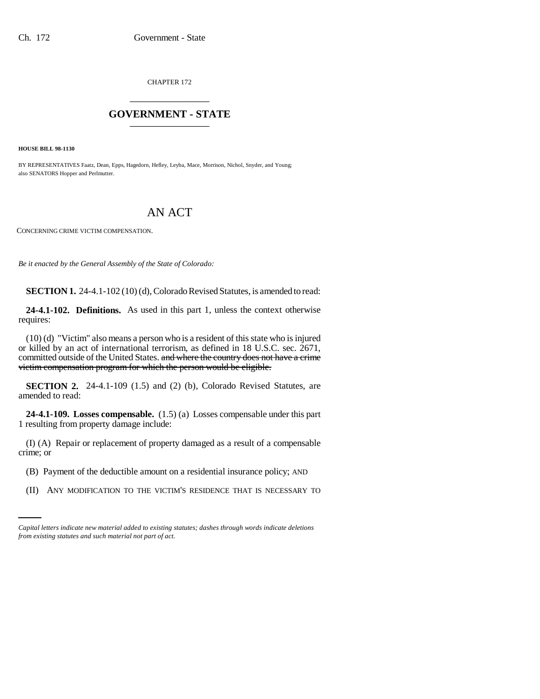CHAPTER 172 \_\_\_\_\_\_\_\_\_\_\_\_\_\_\_

## **GOVERNMENT - STATE** \_\_\_\_\_\_\_\_\_\_\_\_\_\_\_

**HOUSE BILL 98-1130**

BY REPRESENTATIVES Faatz, Dean, Epps, Hagedorn, Hefley, Leyba, Mace, Morrison, Nichol, Snyder, and Young; also SENATORS Hopper and Perlmutter.

## AN ACT

CONCERNING CRIME VICTIM COMPENSATION.

*Be it enacted by the General Assembly of the State of Colorado:*

**SECTION 1.** 24-4.1-102 (10) (d), Colorado Revised Statutes, is amended to read:

**24-4.1-102. Definitions.** As used in this part 1, unless the context otherwise requires:

(10) (d) "Victim" also means a person who is a resident of this state who is injured or killed by an act of international terrorism, as defined in 18 U.S.C. sec. 2671, committed outside of the United States. and where the country does not have a crime victim compensation program for which the person would be eligible.

**SECTION 2.** 24-4.1-109 (1.5) and (2) (b), Colorado Revised Statutes, are amended to read:

**24-4.1-109. Losses compensable.** (1.5) (a) Losses compensable under this part 1 resulting from property damage include:

(I) (A) Repair or replacement of property damaged as a result of a compensable crime; or

- (B) Payment of the deductible amount on a residential insurance policy; AND
	- (II) ANY MODIFICATION TO THE VICTIM'S RESIDENCE THAT IS NECESSARY TO

*Capital letters indicate new material added to existing statutes; dashes through words indicate deletions from existing statutes and such material not part of act.*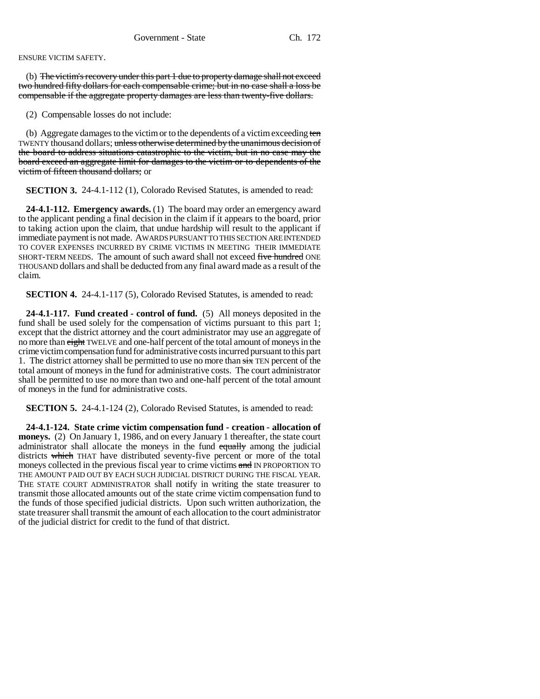ENSURE VICTIM SAFETY.

(b) The victim's recovery under this part 1 due to property damage shall not exceed two hundred fifty dollars for each compensable crime; but in no case shall a loss be compensable if the aggregate property damages are less than twenty-five dollars.

(2) Compensable losses do not include:

(b) Aggregate damages to the victim or to the dependents of a victim exceeding ten TWENTY thousand dollars; unless otherwise determined by the unanimous decision of the board to address situations catastrophic to the victim, but in no case may the board exceed an aggregate limit for damages to the victim or to dependents of the victim of fifteen thousand dollars; or

**SECTION 3.** 24-4.1-112 (1), Colorado Revised Statutes, is amended to read:

**24-4.1-112. Emergency awards.** (1) The board may order an emergency award to the applicant pending a final decision in the claim if it appears to the board, prior to taking action upon the claim, that undue hardship will result to the applicant if immediate payment is not made. AWARDS PURSUANT TO THIS SECTION ARE INTENDED TO COVER EXPENSES INCURRED BY CRIME VICTIMS IN MEETING THEIR IMMEDIATE SHORT-TERM NEEDS. The amount of such award shall not exceed five hundred ONE THOUSAND dollars and shall be deducted from any final award made as a result of the claim.

**SECTION 4.** 24-4.1-117 (5), Colorado Revised Statutes, is amended to read:

**24-4.1-117. Fund created - control of fund.** (5) All moneys deposited in the fund shall be used solely for the compensation of victims pursuant to this part 1; except that the district attorney and the court administrator may use an aggregate of no more than eight TWELVE and one-half percent of the total amount of moneys in the crime victim compensation fund for administrative costs incurred pursuant to this part 1. The district attorney shall be permitted to use no more than  $\frac{1}{2}$  TEN percent of the total amount of moneys in the fund for administrative costs. The court administrator shall be permitted to use no more than two and one-half percent of the total amount of moneys in the fund for administrative costs.

**SECTION 5.** 24-4.1-124 (2), Colorado Revised Statutes, is amended to read:

**24-4.1-124. State crime victim compensation fund - creation - allocation of moneys.** (2) On January 1, 1986, and on every January 1 thereafter, the state court administrator shall allocate the moneys in the fund equally among the judicial districts which THAT have distributed seventy-five percent or more of the total moneys collected in the previous fiscal year to crime victims and IN PROPORTION TO THE AMOUNT PAID OUT BY EACH SUCH JUDICIAL DISTRICT DURING THE FISCAL YEAR. THE STATE COURT ADMINISTRATOR shall notify in writing the state treasurer to transmit those allocated amounts out of the state crime victim compensation fund to the funds of those specified judicial districts. Upon such written authorization, the state treasurer shall transmit the amount of each allocation to the court administrator of the judicial district for credit to the fund of that district.